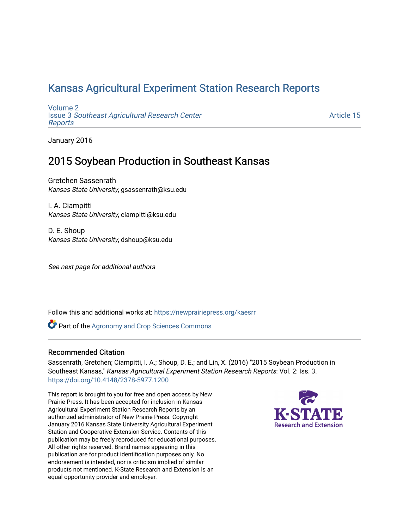# [Kansas Agricultural Experiment Station Research Reports](https://newprairiepress.org/kaesrr)

[Volume 2](https://newprairiepress.org/kaesrr/vol2) Issue 3 [Southeast Agricultural Research Center](https://newprairiepress.org/kaesrr/vol2/iss3) [Reports](https://newprairiepress.org/kaesrr/vol2/iss3)

[Article 15](https://newprairiepress.org/kaesrr/vol2/iss3/15) 

January 2016

# 2015 Soybean Production in Southeast Kansas

Gretchen Sassenrath Kansas State University, gsassenrath@ksu.edu

I. A. Ciampitti Kansas State University, ciampitti@ksu.edu

D. E. Shoup Kansas State University, dshoup@ksu.edu

See next page for additional authors

Follow this and additional works at: [https://newprairiepress.org/kaesrr](https://newprairiepress.org/kaesrr?utm_source=newprairiepress.org%2Fkaesrr%2Fvol2%2Fiss3%2F15&utm_medium=PDF&utm_campaign=PDFCoverPages) 

**Part of the Agronomy and Crop Sciences Commons** 

### Recommended Citation

Sassenrath, Gretchen; Ciampitti, I. A.; Shoup, D. E.; and Lin, X. (2016) "2015 Soybean Production in Southeast Kansas," Kansas Agricultural Experiment Station Research Reports: Vol. 2: Iss. 3. <https://doi.org/10.4148/2378-5977.1200>

This report is brought to you for free and open access by New Prairie Press. It has been accepted for inclusion in Kansas Agricultural Experiment Station Research Reports by an authorized administrator of New Prairie Press. Copyright January 2016 Kansas State University Agricultural Experiment Station and Cooperative Extension Service. Contents of this publication may be freely reproduced for educational purposes. All other rights reserved. Brand names appearing in this publication are for product identification purposes only. No endorsement is intended, nor is criticism implied of similar products not mentioned. K-State Research and Extension is an equal opportunity provider and employer.

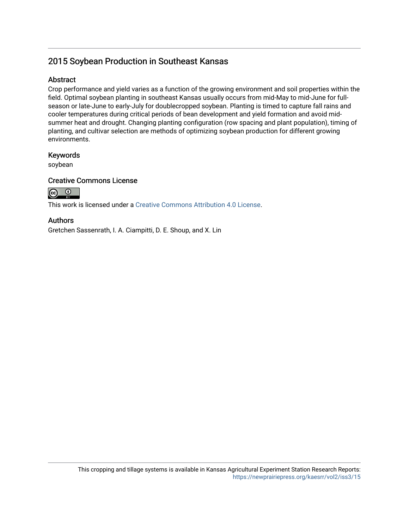# 2015 Soybean Production in Southeast Kansas

### **Abstract**

Crop performance and yield varies as a function of the growing environment and soil properties within the field. Optimal soybean planting in southeast Kansas usually occurs from mid-May to mid-June for fullseason or late-June to early-July for doublecropped soybean. Planting is timed to capture fall rains and cooler temperatures during critical periods of bean development and yield formation and avoid midsummer heat and drought. Changing planting configuration (row spacing and plant population), timing of planting, and cultivar selection are methods of optimizing soybean production for different growing environments.

### Keywords

soybean

### Creative Commons License



This work is licensed under a [Creative Commons Attribution 4.0 License](https://creativecommons.org/licenses/by/4.0/).

### Authors

Gretchen Sassenrath, I. A. Ciampitti, D. E. Shoup, and X. Lin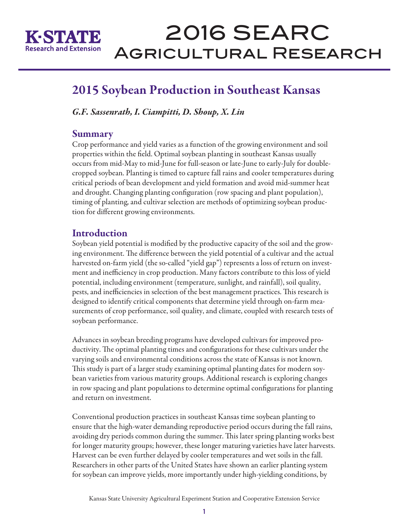

# 2016 SEARC Agricultural Research

# 2015 Soybean Production in Southeast Kansas

*G.F. Sassenrath, I. Ciampitti, D. Shoup, X. Lin* 

### Summary

Crop performance and yield varies as a function of the growing environment and soil properties within the field. Optimal soybean planting in southeast Kansas usually occurs from mid-May to mid-June for full-season or late-June to early-July for doublecropped soybean. Planting is timed to capture fall rains and cooler temperatures during critical periods of bean development and yield formation and avoid mid-summer heat and drought. Changing planting configuration (row spacing and plant population), timing of planting, and cultivar selection are methods of optimizing soybean production for different growing environments.

# **Introduction**

Soybean yield potential is modified by the productive capacity of the soil and the growing environment. The difference between the yield potential of a cultivar and the actual harvested on-farm yield (the so-called "yield gap") represents a loss of return on investment and inefficiency in crop production. Many factors contribute to this loss of yield potential, including environment (temperature, sunlight, and rainfall), soil quality, pests, and inefficiencies in selection of the best management practices. This research is designed to identify critical components that determine yield through on-farm measurements of crop performance, soil quality, and climate, coupled with research tests of soybean performance.

Advances in soybean breeding programs have developed cultivars for improved productivity. The optimal planting times and configurations for these cultivars under the varying soils and environmental conditions across the state of Kansas is not known. This study is part of a larger study examining optimal planting dates for modern soybean varieties from various maturity groups. Additional research is exploring changes in row spacing and plant populations to determine optimal configurations for planting and return on investment.

Conventional production practices in southeast Kansas time soybean planting to ensure that the high-water demanding reproductive period occurs during the fall rains, avoiding dry periods common during the summer. This later spring planting works best for longer maturity groups; however, these longer maturing varieties have later harvests. Harvest can be even further delayed by cooler temperatures and wet soils in the fall. Researchers in other parts of the United States have shown an earlier planting system for soybean can improve yields, more importantly under high-yielding conditions, by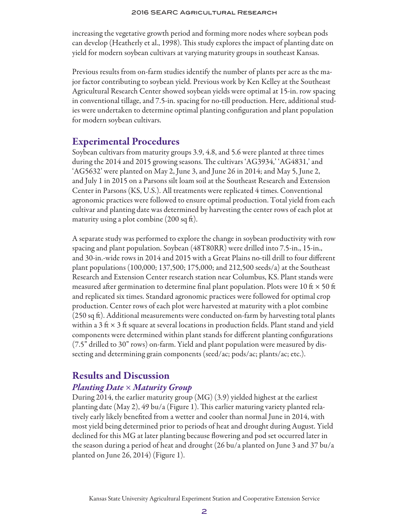increasing the vegetative growth period and forming more nodes where soybean pods can develop (Heatherly et al., 1998). This study explores the impact of planting date on yield for modern soybean cultivars at varying maturity groups in southeast Kansas.

Previous results from on-farm studies identify the number of plants per acre as the major factor contributing to soybean yield. Previous work by Ken Kelley at the Southeast Agricultural Research Center showed soybean yields were optimal at 15-in. row spacing in conventional tillage, and 7.5-in. spacing for no-till production. Here, additional studies were undertaken to determine optimal planting configuration and plant population for modern soybean cultivars.

# Experimental Procedures

Soybean cultivars from maturity groups 3.9, 4.8, and 5.6 were planted at three times during the 2014 and 2015 growing seasons. The cultivars 'AG3934,' 'AG4831,' and 'AG5632' were planted on May 2, June 3, and June 26 in 2014; and May 5, June 2, and July 1 in 2015 on a Parsons silt loam soil at the Southeast Research and Extension Center in Parsons (KS, U.S.). All treatments were replicated 4 times. Conventional agronomic practices were followed to ensure optimal production. Total yield from each cultivar and planting date was determined by harvesting the center rows of each plot at maturity using a plot combine (200 sq ft).

A separate study was performed to explore the change in soybean productivity with row spacing and plant population. Soybean (48T80RR) were drilled into 7.5-in., 15-in., and 30-in.-wide rows in 2014 and 2015 with a Great Plains no-till drill to four different plant populations (100,000; 137,500; 175,000; and 212,500 seeds/a) at the Southeast Research and Extension Center research station near Columbus, KS. Plant stands were measured after germination to determine final plant population. Plots were 10 ft  $\times$  50 ft and replicated six times. Standard agronomic practices were followed for optimal crop production. Center rows of each plot were harvested at maturity with a plot combine (250 sq ft). Additional measurements were conducted on-farm by harvesting total plants within a 3 ft  $\times$  3 ft square at several locations in production fields. Plant stand and yield components were determined within plant stands for different planting configurations (7.5" drilled to 30" rows) on-farm. Yield and plant population were measured by dissecting and determining grain components (seed/ac; pods/ac; plants/ac; etc.).

# Results and Discussion

### *Planting Date* × *Maturity Group*

During 2014, the earlier maturity group (MG) (3.9) yielded highest at the earliest planting date (May 2), 49 bu/a (Figure 1). This earlier maturing variety planted relatively early likely benefited from a wetter and cooler than normal June in 2014, with most yield being determined prior to periods of heat and drought during August. Yield declined for this MG at later planting because flowering and pod set occurred later in the season during a period of heat and drought (26 bu/a planted on June 3 and 37 bu/a planted on June 26, 2014) (Figure 1).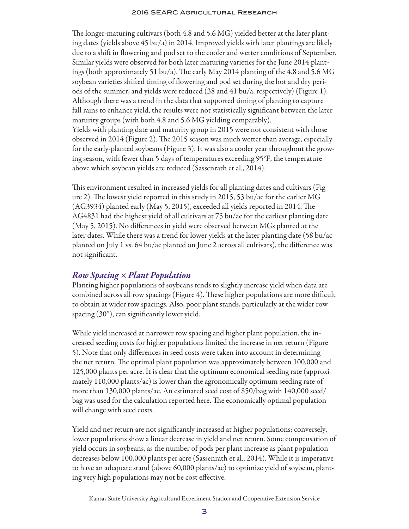#### 2016 SEARC Agricultural Research

The longer-maturing cultivars (both 4.8 and 5.6 MG) yielded better at the later planting dates (yields above 45 bu/a) in 2014. Improved yields with later plantings are likely due to a shift in flowering and pod set to the cooler and wetter conditions of September. Similar yields were observed for both later maturing varieties for the June 2014 plantings (both approximately 51 bu/a). The early May 2014 planting of the 4.8 and 5.6 MG soybean varieties shifted timing of flowering and pod set during the hot and dry periods of the summer, and yields were reduced (38 and 41 bu/a, respectively) (Figure 1). Although there was a trend in the data that supported timing of planting to capture fall rains to enhance yield, the results were not statistically significant between the later maturity groups (with both 4.8 and 5.6 MG yielding comparably). Yields with planting date and maturity group in 2015 were not consistent with those observed in 2014 (Figure 2). The 2015 season was much wetter than average, especially for the early-planted soybeans (Figure 3). It was also a cooler year throughout the growing season, with fewer than 5 days of temperatures exceeding 95°F, the temperature above which soybean yields are reduced (Sassenrath et al., 2014).

This environment resulted in increased yields for all planting dates and cultivars (Figure 2). The lowest yield reported in this study in 2015, 53 bu/ac for the earlier MG (AG3934) planted early (May 5, 2015), exceeded all yields reported in 2014. The AG4831 had the highest yield of all cultivars at 75 bu/ac for the earliest planting date (May 5, 2015). No differences in yield were observed between MGs planted at the later dates. While there was a trend for lower yields at the later planting date (58 bu/ac planted on July 1 vs. 64 bu/ac planted on June 2 across all cultivars), the difference was not significant.

### *Row Spacing × Plant Population*

Planting higher populations of soybeans tends to slightly increase yield when data are combined across all row spacings (Figure 4). These higher populations are more difficult to obtain at wider row spacings. Also, poor plant stands, particularly at the wider row spacing (30"), can significantly lower yield.

While yield increased at narrower row spacing and higher plant population, the increased seeding costs for higher populations limited the increase in net return (Figure 5). Note that only differences in seed costs were taken into account in determining the net return. The optimal plant population was approximately between 100,000 and 125,000 plants per acre. It is clear that the optimum economical seeding rate (approximately 110,000 plants/ac) is lower than the agronomically optimum seeding rate of more than 130,000 plants/ac. An estimated seed cost of \$50/bag with 140,000 seed/ bag was used for the calculation reported here. The economically optimal population will change with seed costs.

Yield and net return are not significantly increased at higher populations; conversely, lower populations show a linear decrease in yield and net return. Some compensation of yield occurs in soybeans, as the number of pods per plant increase as plant population decreases below 100,000 plants per acre (Sassenrath et al., 2014). While it is imperative to have an adequate stand (above 60,000 plants/ac) to optimize yield of soybean, planting very high populations may not be cost effective.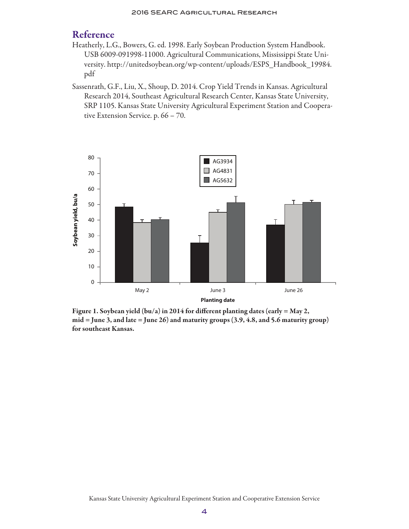# Reference

- Heatherly, L.G., Bowers, G. ed. 1998. Early Soybean Production System Handbook. USB 6009-091998-11000. Agricultural Communications, Mississippi State University. http://unitedsoybean.org/wp-content/uploads/ESPS\_Handbook\_19984. pdf
- Sassenrath, G.F., Liu, X., Shoup, D. 2014. Crop Yield Trends in Kansas. Agricultural Research 2014, Southeast Agricultural Research Center, Kansas State University, SRP 1105. Kansas State University Agricultural Experiment Station and Cooperative Extension Service. p. 66 – 70.



Figure 1. Soybean yield (bu/a) in 2014 for different planting dates (early = May 2,  $mid =$  June 3, and late  $=$  June 26) and maturity groups  $(3.9, 4.8,$  and 5.6 maturity group) for southeast Kansas.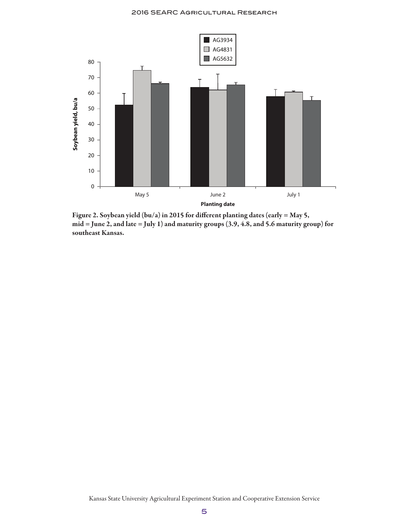

Figure 2. Soybean yield (bu/a) in 2015 for different planting dates (early = May 5, mid = June 2, and late = July 1) and maturity groups (3.9, 4.8, and 5.6 maturity group) for southeast Kansas.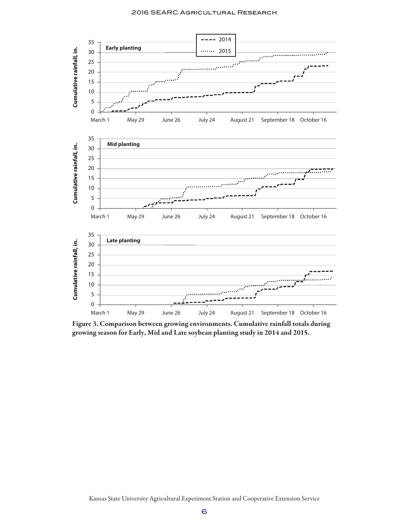

Figure 3. Comparison between growing environments. Cumulative rainfall totals during growing season for Early, Mid and Late soybean planting study in 2014 and 2015.